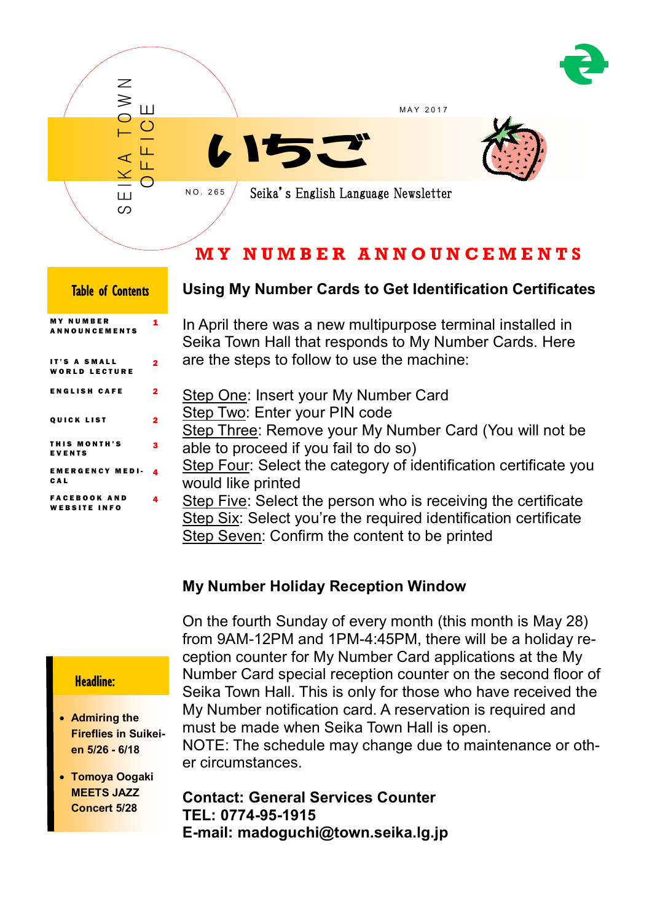



# **M Y N U M B E R A N N O U N C E M E N T S**

| <b>Table of Contents</b>                   |   |
|--------------------------------------------|---|
| <b>MY NUMBER</b><br><b>ANNOUNCEMENTS</b>   | 1 |
| IT'S A SMALL<br><b>WORLD LECTURE</b>       | 2 |
| <b>ENGLISH CAFE</b>                        | 2 |
| <b>QUICK LIST</b>                          | 2 |
| THIS MONTH'S<br><b>EVENTS</b>              | 3 |
| <b>EMERGENCY MEDI-</b><br>CAL              | 4 |
| <b>FACEBOOK AND</b><br><b>WEBSITE INFO</b> | 4 |

## **Using My Number Cards to Get Identification Certificates**

In April there was a new multipurpose terminal installed in Seika Town Hall that responds to My Number Cards. Here are the steps to follow to use the machine:

- Step One: Insert your My Number Card Step Two: Enter your PIN code Step Three: Remove your My Number Card (You will not be able to proceed if you fail to do so)
- Step Four: Select the category of identification certificate you would like printed

Step Five: Select the person who is receiving the certificate Step Six: Select you're the required identification certificate Step Seven: Confirm the content to be printed

## **My Number Holiday Reception Window**

On the fourth Sunday of every month (this month is May 28) from 9AM-12PM and 1PM-4:45PM, there will be a holiday reception counter for My Number Card applications at the My Number Card special reception counter on the second floor of Seika Town Hall. This is only for those who have received the My Number notification card. A reservation is required and must be made when Seika Town Hall is open.

NOTE: The schedule may change due to maintenance or other circumstances.

**Contact: General Services Counter TEL: 0774-95-1915 E-mail: madoguchi@town.seika.lg.jp**

## Headline:

- **Admiring the Fireflies in Suikeien 5/26 - 6/18**
- **Tomoya Oogaki MEETS JAZZ Concert 5/28**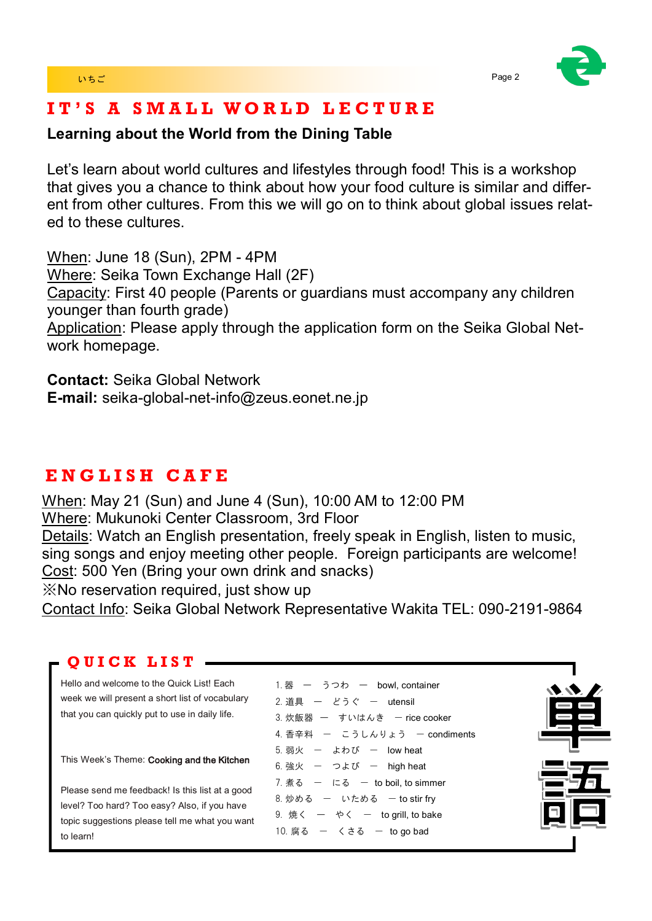

# **I T ' S A S M A L L W O R L D L E C T U R E**

## **Learning about the World from the Dining Table**

Let's learn about world cultures and lifestyles through food! This is a workshop that gives you a chance to think about how your food culture is similar and different from other cultures. From this we will go on to think about global issues related to these cultures.

When: June 18 (Sun), 2PM - 4PM Where: Seika Town Exchange Hall (2F) Capacity: First 40 people (Parents or guardians must accompany any children younger than fourth grade) Application: Please apply through the application form on the Seika Global Network homepage.

**Contact:** Seika Global Network **E-mail:** seika-global-net-info@zeus.eonet.ne.jp

# **E N G L I S H C A F E**

When: May 21 (Sun) and June 4 (Sun), 10:00 AM to 12:00 PM Where: Mukunoki Center Classroom, 3rd Floor Details: Watch an English presentation, freely speak in English, listen to music, sing songs and enjoy meeting other people. Foreign participants are welcome! Cost: 500 Yen (Bring your own drink and snacks)

※No reservation required, just show up

Contact Info: Seika Global Network Representative Wakita TEL: 090-2191-9864

## **Q U I C K L I S T**

Hello and welcome to the Quick List! Each week we will present a short list of vocabulary that you can quickly put to use in daily life.

This Week's Theme: Cooking and the Kitchen

Please send me feedback! Is this list at a good level? Too hard? Too easy? Also, if you have topic suggestions please tell me what you want to learn!

## 1. 器 ー うつわ ー bowl, container 2. 道具 – どうぐ – utensil 3. 炊飯器 ー すいはんき ー rice cooker 4. 香辛料 ー こうしんりょう ー condiments  $5.$  弱火  $-$  よわび  $-$  low heat  $6.$  強火  $-$  つよび  $-$  high heat  $7.$  煮る  $-$  にる  $-$  to boil, to simmer  $8.$  炒める – いためる – to stir frv  $9.$  焼く  $-$  やく  $-$  to grill, to bake  $10.$  腐る  $-$  くさる  $-$  to go bad

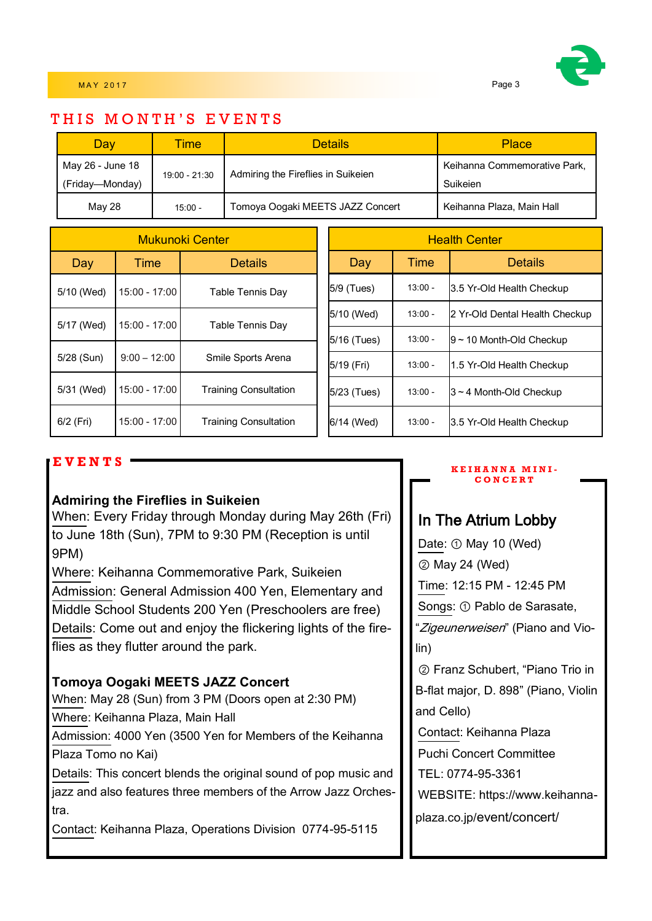

## THIS MONTH'S EVENTS

| Dav                                 | <b>Time</b>   | <b>Details</b>                     | <b>Place</b>                             |
|-------------------------------------|---------------|------------------------------------|------------------------------------------|
| May 26 - June 18<br>(Friday—Monday) | 19:00 - 21:30 | Admiring the Fireflies in Suikeien | Keihanna Commemorative Park,<br>Suikeien |
| May 28                              | $15:00 -$     | Tomoya Oogaki MEETS JAZZ Concert   | Keihanna Plaza, Main Hall                |

| <b>Mukunoki Center</b> |                  | <b>Health Center</b>         |             |                            |                                |
|------------------------|------------------|------------------------------|-------------|----------------------------|--------------------------------|
| Day                    | Time             | <b>Details</b>               | Day         | Time                       | <b>Details</b>                 |
| 5/10 (Wed)             | $15:00 - 17:00$  | Table Tennis Day             | 5/9 (Tues)  | $13:00 -$                  | 3.5 Yr-Old Health Checkup      |
|                        | $15:00 - 17:00$  |                              | 5/10 (Wed)  | $13:00 -$                  | 2 Yr-Old Dental Health Checkup |
| 5/17 (Wed)             | Table Tennis Day | 5/16 (Tues)                  | $13:00 -$   | $9 - 10$ Month-Old Checkup |                                |
| 5/28 (Sun)             | $9:00 - 12:00$   | Smile Sports Arena           | 5/19 (Fri)  | $13:00 -$                  | 1.5 Yr-Old Health Checkup      |
| 5/31 (Wed)             | 15:00 - 17:00    | <b>Training Consultation</b> | 5/23 (Tues) | $13:00 -$                  | $3 \sim 4$ Month-Old Checkup   |
| 6/2 (Fri)              | 15:00 - 17:00    | <b>Training Consultation</b> | 6/14 (Wed)  | $13:00 -$                  | 3.5 Yr-Old Health Checkup      |

### **E V E N T S**

### **Admiring the Fireflies in Suikeien**

When: Every Friday through Monday during May 26th (Fri) to June 18th (Sun), 7PM to 9:30 PM (Reception is until 9PM)

Where: Keihanna Commemorative Park, Suikeien Admission: General Admission 400 Yen, Elementary and Middle School Students 200 Yen (Preschoolers are free) Details: Come out and enjoy the flickering lights of the fireflies as they flutter around the park.

### **Tomoya Oogaki MEETS JAZZ Concert**

When: May 28 (Sun) from 3 PM (Doors open at 2:30 PM) Where: Keihanna Plaza, Main Hall

Admission: 4000 Yen (3500 Yen for Members of the Keihanna Plaza Tomo no Kai)

Details: This concert blends the original sound of pop music and jazz and also features three members of the Arrow Jazz Orchestra.

Contact: Keihanna Plaza, Operations Division 0774-95-5115

#### **K E I H A N N A M I N I - C O N C E R T**

## In The Atrium Lobby

Date: ① May 10 (Wed) ② May 24 (Wed) Time: 12:15 PM - 12:45 PM Songs: ① Pablo de Sarasate, "Zigeunerweisen" (Piano and Violin) ② Franz Schubert, "Piano Trio in B-flat major, D. 898" (Piano, Violin and Cello) Contact: Keihanna Plaza Puchi Concert Committee TEL: 0774-95-3361

WEBSITE: https://www.keihanna-

plaza.co.jp/event/concert/